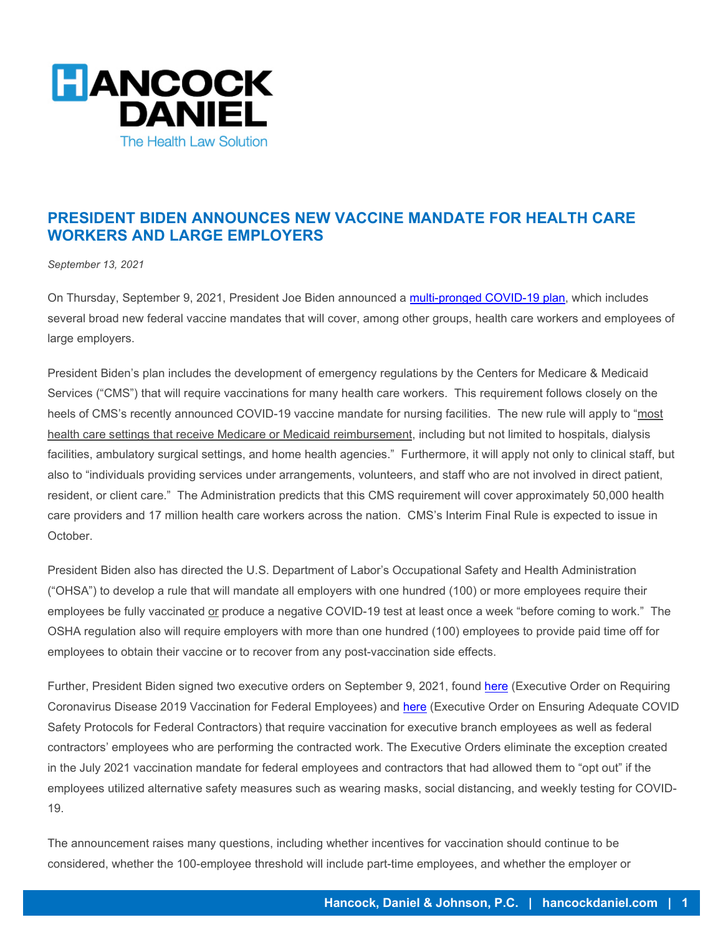

## **PRESIDENT BIDEN ANNOUNCES NEW VACCINE MANDATE FOR HEALTH CARE WORKERS AND LARGE EMPLOYERS**

*September 13, 2021*

On Thursday, September 9, 2021, President Joe Biden announced a [multi-pronged COVID-19 plan,](https://www.whitehouse.gov/covidplan/) which includes several broad new federal vaccine mandates that will cover, among other groups, health care workers and employees of large employers.

President Biden's plan includes the development of emergency regulations by the Centers for Medicare & Medicaid Services ("CMS") that will require vaccinations for many health care workers. This requirement follows closely on the heels of CMS's recently announced COVID-19 vaccine mandate for nursing facilities. The new rule will apply to "most health care settings that receive Medicare or Medicaid reimbursement, including but not limited to hospitals, dialysis facilities, ambulatory surgical settings, and home health agencies." Furthermore, it will apply not only to clinical staff, but also to "individuals providing services under arrangements, volunteers, and staff who are not involved in direct patient, resident, or client care." The Administration predicts that this CMS requirement will cover approximately 50,000 health care providers and 17 million health care workers across the nation. CMS's Interim Final Rule is expected to issue in October.

President Biden also has directed the U.S. Department of Labor's Occupational Safety and Health Administration ("OHSA") to develop a rule that will mandate all employers with one hundred (100) or more employees require their employees be fully vaccinated or produce a negative COVID-19 test at least once a week "before coming to work." The OSHA regulation also will require employers with more than one hundred (100) employees to provide paid time off for employees to obtain their vaccine or to recover from any post-vaccination side effects.

Further, President Biden signed two executive orders on September 9, 2021, found **here** (Executive Order on Requiring Coronavirus Disease 2019 Vaccination for Federal Employees) and [here](https://www.whitehouse.gov/briefing-room/presidential-actions/2021/09/09/executive-order-on-ensuring-adequate-covid-safety-protocols-for-federal-contractors/) (Executive Order on Ensuring Adequate COVID Safety Protocols for Federal Contractors) that require vaccination for executive branch employees as well as federal contractors' employees who are performing the contracted work. The Executive Orders eliminate the exception created in the July 2021 vaccination mandate for federal employees and contractors that had allowed them to "opt out" if the employees utilized alternative safety measures such as wearing masks, social distancing, and weekly testing for COVID-19.

The announcement raises many questions, including whether incentives for vaccination should continue to be considered, whether the 100-employee threshold will include part-time employees, and whether the employer or